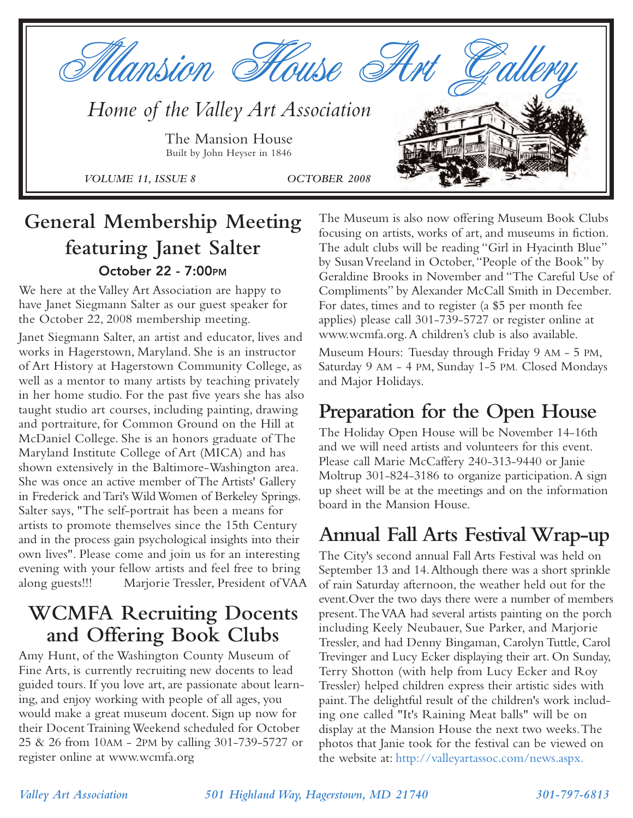

## **General Membership Meeting featuring Janet Salter October 22 - 7:00PM**

We here at the Valley Art Association are happy to have Janet Siegmann Salter as our guest speaker for the October 22, 2008 membership meeting.

Janet Siegmann Salter, an artist and educator, lives and works in Hagerstown, Maryland. She is an instructor of Art History at Hagerstown Community College, as well as a mentor to many artists by teaching privately in her home studio. For the past five years she has also taught studio art courses, including painting, drawing and portraiture, for Common Ground on the Hill at McDaniel College. She is an honors graduate of The Maryland Institute College of Art (MICA) and has shown extensively in the Baltimore-Washington area. She was once an active member of The Artists' Gallery in Frederick and Tari's Wild Women of Berkeley Springs. Salter says, "The self-portrait has been a means for artists to promote themselves since the 15th Century and in the process gain psychological insights into their own lives". Please come and join us for an interesting evening with your fellow artists and feel free to bring along guests!!! Marjorie Tressler, President of VAA

### **WCMFA Recruiting Docents and Offering Book Clubs**

Amy Hunt, of the Washington County Museum of Fine Arts, is currently recruiting new docents to lead guided tours. If you love art, are passionate about learning, and enjoy working with people of all ages, you would make a great museum docent. Sign up now for their Docent Training Weekend scheduled for October 25 & 26 from 10AM - 2PM by calling 301-739-5727 or register online at www.wcmfa.org

The Museum is also now offering Museum Book Clubs focusing on artists, works of art, and museums in fiction. The adult clubs will be reading "Girl in Hyacinth Blue" by Susan Vreeland in October,"People of the Book" by Geraldine Brooks in November and "The Careful Use of Compliments" by Alexander McCall Smith in December. For dates, times and to register (a \$5 per month fee applies) please call 301-739-5727 or register online at www.wcmfa.org.A children's club is also available.

Museum Hours: Tuesday through Friday 9 AM - 5 PM, Saturday 9 AM - 4 PM, Sunday 1-5 PM. Closed Mondays and Major Holidays.

## **Preparation for the Open House**

The Holiday Open House will be November 14-16th and we will need artists and volunteers for this event. Please call Marie McCaffery 240-313-9440 or Janie Moltrup 301-824-3186 to organize participation.A sign up sheet will be at the meetings and on the information board in the Mansion House.

### **Annual Fall Arts Festival Wrap-up**

The City's second annual Fall Arts Festival was held on September 13 and 14.Although there was a short sprinkle of rain Saturday afternoon, the weather held out for the event.Over the two days there were a number of members present.The VAA had several artists painting on the porch including Keely Neubauer, Sue Parker, and Marjorie Tressler, and had Denny Bingaman, Carolyn Tuttle, Carol Trevinger and Lucy Ecker displaying their art. On Sunday, Terry Shotton (with help from Lucy Ecker and Roy Tressler) helped children express their artistic sides with paint.The delightful result of the children's work including one called "It's Raining Meat balls" will be on display at the Mansion House the next two weeks.The photos that Janie took for the festival can be viewed on the website at: http://valleyartassoc.com/news.aspx.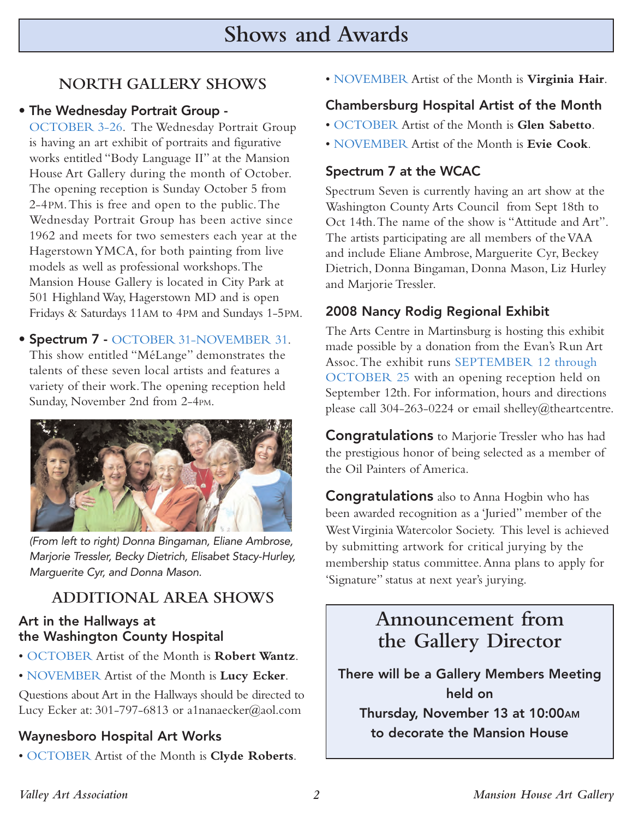### **NORTH GALLERY SHOWS**

#### **• The Wednesday Portrait Group -**

OCTOBER 3-26. The Wednesday Portrait Group is having an art exhibit of portraits and figurative works entitled "Body Language II" at the Mansion House Art Gallery during the month of October. The opening reception is Sunday October 5 from 2-4PM.This is free and open to the public.The Wednesday Portrait Group has been active since 1962 and meets for two semesters each year at the Hagerstown YMCA, for both painting from live models as well as professional workshops.The Mansion House Gallery is located in City Park at 501 Highland Way, Hagerstown MD and is open Fridays & Saturdays 11AM to 4PM and Sundays 1-5PM.

**• Spectrum 7 -** OCTOBER 31-NOVEMBER 31. This show entitled "MéLange" demonstrates the talents of these seven local artists and features a variety of their work.The opening reception held Sunday, November 2nd from 2-4PM.



(From left to right) Donna Bingaman, Eliane Ambrose, Marjorie Tressler, Becky Dietrich, Elisabet Stacy-Hurley, Marguerite Cyr, and Donna Mason.

### **ADDITIONAL AREA SHOWS**

#### **Art in the Hallways at the Washington County Hospital**

- OCTOBER Artist of the Month is **Robert Wantz**.
- NOVEMBER Artist of the Month is **Lucy Ecker**.

Questions about Art in the Hallways should be directed to Lucy Ecker at: 301-797-6813 or a1nanaecker@aol.com

#### **Waynesboro Hospital Art Works**

• OCTOBER Artist of the Month is **Clyde Roberts**.

• NOVEMBER Artist of the Month is **Virginia Hair**.

#### **Chambersburg Hospital Artist of the Month**

- OCTOBER Artist of the Month is **Glen Sabetto**.
- NOVEMBER Artist of the Month is **Evie Cook**.

#### **Spectrum 7 at the WCAC**

Spectrum Seven is currently having an art show at the Washington County Arts Council from Sept 18th to Oct 14th.The name of the show is "Attitude and Art". The artists participating are all members of the VAA and include Eliane Ambrose, Marguerite Cyr, Beckey Dietrich, Donna Bingaman, Donna Mason, Liz Hurley and Marjorie Tressler.

#### **2008 Nancy Rodig Regional Exhibit**

The Arts Centre in Martinsburg is hosting this exhibit made possible by a donation from the Evan's Run Art Assoc.The exhibit runs SEPTEMBER 12 through OCTOBER 25 with an opening reception held on September 12th. For information, hours and directions please call 304-263-0224 or email shelley@theartcentre.

**Congratulations** to Marjorie Tressler who has had the prestigious honor of being selected as a member of the Oil Painters of America.

**Congratulations** also to Anna Hogbin who has been awarded recognition as a 'Juried" member of the West Virginia Watercolor Society. This level is achieved by submitting artwork for critical jurying by the membership status committee.Anna plans to apply for 'Signature" status at next year's jurying.

### **Announcement from the Gallery Director**

**There will be a Gallery Members Meeting held on** 

**Thursday, November 13 at 10:00AM to decorate the Mansion House**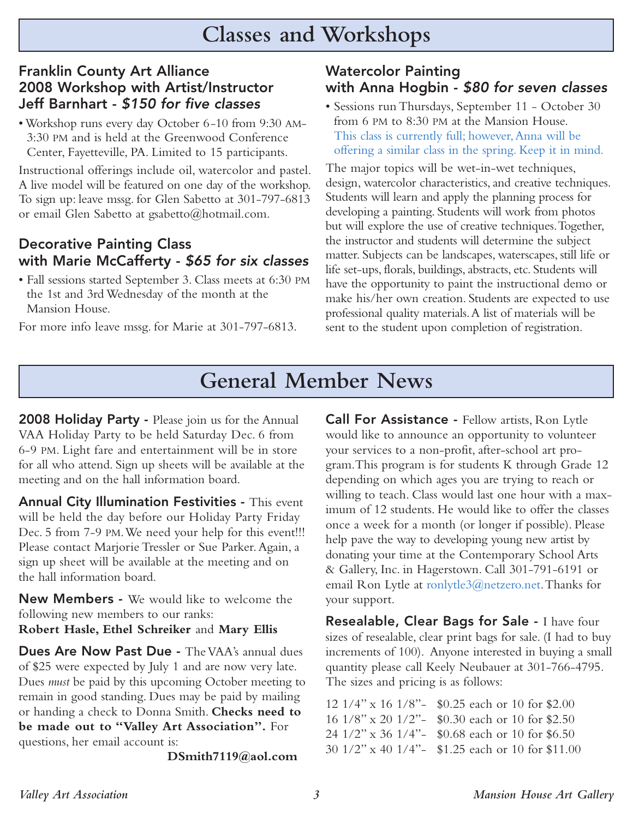#### **Franklin County Art Alliance 2008 Workshop with Artist/Instructor Jeff Barnhart -** \$150 for five classes

• Workshop runs every day October 6-10 from 9:30 AM-3:30 PM and is held at the Greenwood Conference Center, Fayetteville, PA. Limited to 15 participants.

Instructional offerings include oil, watercolor and pastel. A live model will be featured on one day of the workshop. To sign up: leave mssg. for Glen Sabetto at 301-797-6813 or email Glen Sabetto at gsabetto@hotmail.com.

#### **Decorative Painting Class with Marie McCafferty -** \$65 for six classes

• Fall sessions started September 3. Class meets at 6:30 PM the 1st and 3rd Wednesday of the month at the Mansion House.

For more info leave mssg. for Marie at 301-797-6813.

#### **Watercolor Painting with Anna Hogbin -** \$80 for seven classes

• Sessions run Thursdays, September 11 - October 30 from 6 PM to 8:30 PM at the Mansion House. This class is currently full; however,Anna will be offering a similar class in the spring. Keep it in mind.

The major topics will be wet-in-wet techniques, design, watercolor characteristics, and creative techniques. Students will learn and apply the planning process for developing a painting. Students will work from photos but will explore the use of creative techniques.Together, the instructor and students will determine the subject matter. Subjects can be landscapes, waterscapes, still life or life set-ups, florals, buildings, abstracts, etc. Students will have the opportunity to paint the instructional demo or make his/her own creation. Students are expected to use professional quality materials.A list of materials will be sent to the student upon completion of registration.

# **General Member News**

**2008 Holiday Party -** Please join us for the Annual VAA Holiday Party to be held Saturday Dec. 6 from 6-9 PM. Light fare and entertainment will be in store for all who attend. Sign up sheets will be available at the meeting and on the hall information board.

**Annual City Illumination Festivities -** This event will be held the day before our Holiday Party Friday Dec. 5 from 7-9 PM.We need your help for this event!!! Please contact Marjorie Tressler or Sue Parker.Again, a sign up sheet will be available at the meeting and on the hall information board.

**New Members -** We would like to welcome the following new members to our ranks:

**Robert Hasle, Ethel Schreiker** and **Mary Ellis**

**Dues Are Now Past Due -** The VAA's annual dues of \$25 were expected by July 1 and are now very late. Dues *must* be paid by this upcoming October meeting to remain in good standing. Dues may be paid by mailing or handing a check to Donna Smith. **Checks need to be made out to "Valley Art Association".** For questions, her email account is:

**DSmith7119@aol.com**

**Call For Assistance -** Fellow artists, Ron Lytle would like to announce an opportunity to volunteer your services to a non-profit, after-school art program.This program is for students K through Grade 12 depending on which ages you are trying to reach or willing to teach. Class would last one hour with a maximum of 12 students. He would like to offer the classes once a week for a month (or longer if possible). Please help pave the way to developing young new artist by donating your time at the Contemporary School Arts & Gallery, Inc. in Hagerstown. Call 301-791-6191 or email Ron Lytle at ronlytle3@netzero.net.Thanks for your support.

**Resealable, Clear Bags for Sale -** I have four sizes of resealable, clear print bags for sale. (I had to buy increments of 100). Anyone interested in buying a small quantity please call Keely Neubauer at 301-766-4795. The sizes and pricing is as follows:

12 1/4" x 16 1/8"- \$0.25 each or 10 for \$2.00 16 1/8" x 20 1/2"- \$0.30 each or 10 for \$2.50 24 1/2" x 36 1/4"- \$0.68 each or 10 for \$6.50 30 1/2" x 40 1/4"- \$1.25 each or 10 for \$11.00